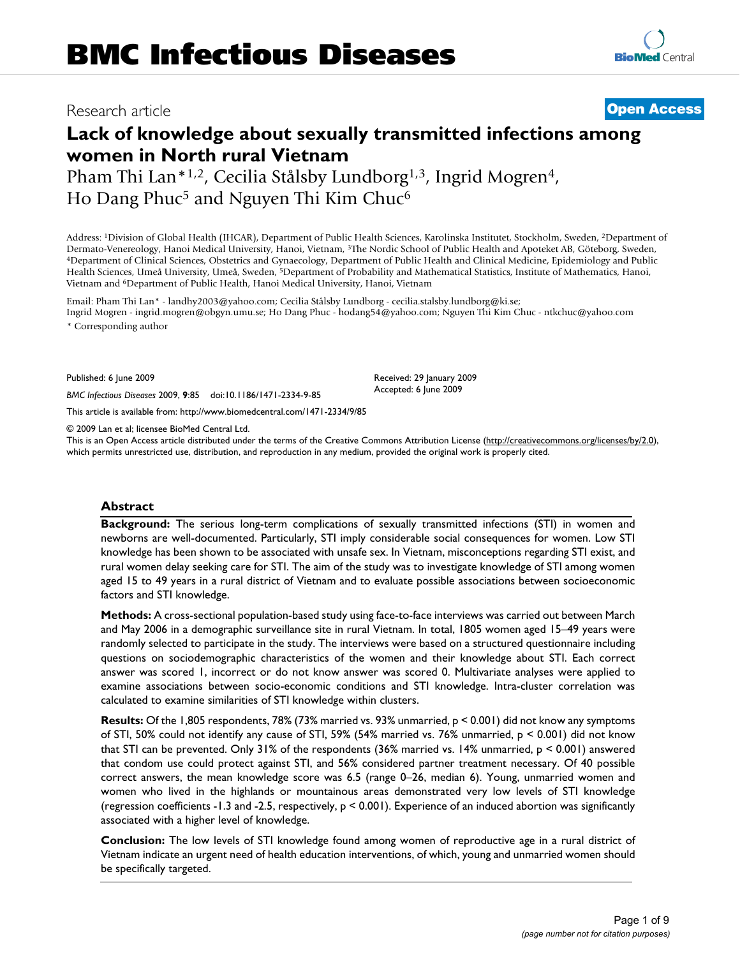# Research article **[Open Access](http://www.biomedcentral.com/info/about/charter/)**

# **Lack of knowledge about sexually transmitted infections among women in North rural Vietnam**

Pham Thi Lan\*1,2, Cecilia Stålsby Lundborg1,3, Ingrid Mogren4, Ho Dang Phuc<sup>5</sup> and Nguyen Thi Kim Chuc<sup>6</sup>

Address: 1Division of Global Health (IHCAR), Department of Public Health Sciences, Karolinska Institutet, Stockholm, Sweden, 2Department of Dermato-Venereology, Hanoi Medical University, Hanoi, Vietnam, <sup>3</sup>The Nordic School of Public Health and Apoteket AB, Göteborg, Sweden, 4Department of Clinical Sciences, Obstetrics and Gynaecology, Department of Public Hea Health Sciences, Umeå University, Umeå, Sweden, 5Department of Probability and Mathematical Statistics, Institute of Mathematics, Hanoi, Vietnam and 6Department of Public Health, Hanoi Medical University, Hanoi, Vietnam

Email: Pham Thi Lan\* - landhy2003@yahoo.com; Cecilia Stålsby Lundborg - cecilia.stalsby.lundborg@ki.se; Ingrid Mogren - ingrid.mogren@obgyn.umu.se; Ho Dang Phuc - hodang54@yahoo.com; Nguyen Thi Kim Chuc - ntkchuc@yahoo.com \* Corresponding author

Published: 6 June 2009

*BMC Infectious Diseases* 2009, **9**:85 doi:10.1186/1471-2334-9-85

[This article is available from: http://www.biomedcentral.com/1471-2334/9/85](http://www.biomedcentral.com/1471-2334/9/85)

© 2009 Lan et al; licensee BioMed Central Ltd.

This is an Open Access article distributed under the terms of the Creative Commons Attribution License [\(http://creativecommons.org/licenses/by/2.0\)](http://creativecommons.org/licenses/by/2.0), which permits unrestricted use, distribution, and reproduction in any medium, provided the original work is properly cited.

Received: 29 January 2009 Accepted: 6 June 2009

#### **Abstract**

**Background:** The serious long-term complications of sexually transmitted infections (STI) in women and newborns are well-documented. Particularly, STI imply considerable social consequences for women. Low STI knowledge has been shown to be associated with unsafe sex. In Vietnam, misconceptions regarding STI exist, and rural women delay seeking care for STI. The aim of the study was to investigate knowledge of STI among women aged 15 to 49 years in a rural district of Vietnam and to evaluate possible associations between socioeconomic factors and STI knowledge.

**Methods:** A cross-sectional population-based study using face-to-face interviews was carried out between March and May 2006 in a demographic surveillance site in rural Vietnam. In total, 1805 women aged 15–49 years were randomly selected to participate in the study. The interviews were based on a structured questionnaire including questions on sociodemographic characteristics of the women and their knowledge about STI. Each correct answer was scored 1, incorrect or do not know answer was scored 0. Multivariate analyses were applied to examine associations between socio-economic conditions and STI knowledge. Intra-cluster correlation was calculated to examine similarities of STI knowledge within clusters.

**Results:** Of the 1,805 respondents, 78% (73% married vs. 93% unmarried, p < 0.001) did not know any symptoms of STI, 50% could not identify any cause of STI, 59% (54% married vs. 76% unmarried, p < 0.001) did not know that STI can be prevented. Only 31% of the respondents (36% married vs. 14% unmarried,  $p \le 0.001$ ) answered that condom use could protect against STI, and 56% considered partner treatment necessary. Of 40 possible correct answers, the mean knowledge score was 6.5 (range 0–26, median 6). Young, unmarried women and women who lived in the highlands or mountainous areas demonstrated very low levels of STI knowledge (regression coefficients -1.3 and -2.5, respectively, p < 0.001). Experience of an induced abortion was significantly associated with a higher level of knowledge.

**Conclusion:** The low levels of STI knowledge found among women of reproductive age in a rural district of Vietnam indicate an urgent need of health education interventions, of which, young and unmarried women should be specifically targeted.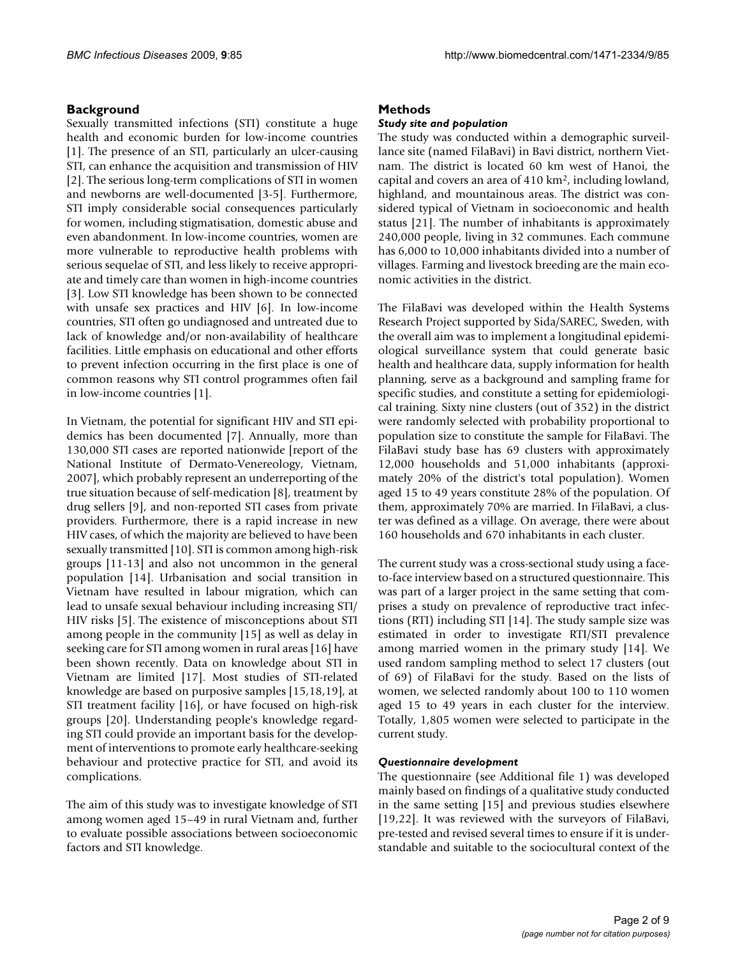#### **Background**

Sexually transmitted infections (STI) constitute a huge health and economic burden for low-income countries [[1\]](#page-7-0). The presence of an STI, particularly an ulcer-causing STI, can enhance the acquisition and transmission of HIV [[2\]](#page-7-1). The serious long-term complications of STI in women and newborns are well-documented [\[3-](#page-7-2)[5](#page-7-3)]. Furthermore, STI imply considerable social consequences particularly for women, including stigmatisation, domestic abuse and even abandonment. In low-income countries, women are more vulnerable to reproductive health problems with serious sequelae of STI, and less likely to receive appropriate and timely care than women in high-income countries [[3\]](#page-7-2). Low STI knowledge has been shown to be connected with unsafe sex practices and HIV [[6](#page-7-4)]. In low-income countries, STI often go undiagnosed and untreated due to lack of knowledge and/or non-availability of healthcare facilities. Little emphasis on educational and other efforts to prevent infection occurring in the first place is one of common reasons why STI control programmes often fail in low-income countries [[1](#page-7-0)].

In Vietnam, the potential for significant HIV and STI epidemics has been documented [[7](#page-7-5)]. Annually, more than 130,000 STI cases are reported nationwide [report of the National Institute of Dermato-Venereology, Vietnam, 2007], which probably represent an underreporting of the true situation because of self-medication [\[8\]](#page-7-6), treatment by drug sellers [[9](#page-7-7)], and non-reported STI cases from private providers. Furthermore, there is a rapid increase in new HIV cases, of which the majority are believed to have been sexually transmitted [\[10](#page-7-8)]. STI is common among high-risk groups [\[11-](#page-7-9)[13\]](#page-7-10) and also not uncommon in the general population [[14](#page-7-11)]. Urbanisation and social transition in Vietnam have resulted in labour migration, which can lead to unsafe sexual behaviour including increasing STI/ HIV risks [[5\]](#page-7-3). The existence of misconceptions about STI among people in the community [\[15\]](#page-7-12) as well as delay in seeking care for STI among women in rural areas [\[16](#page-7-13)] have been shown recently. Data on knowledge about STI in Vietnam are limited [\[17](#page-7-14)]. Most studies of STI-related knowledge are based on purposive samples [\[15](#page-7-12),[18,](#page-7-15)[19\]](#page-7-16), at STI treatment facility [[16\]](#page-7-13), or have focused on high-risk groups [\[20\]](#page-7-17). Understanding people's knowledge regarding STI could provide an important basis for the development of interventions to promote early healthcare-seeking behaviour and protective practice for STI, and avoid its complications.

The aim of this study was to investigate knowledge of STI among women aged 15–49 in rural Vietnam and, further to evaluate possible associations between socioeconomic factors and STI knowledge.

#### **Methods**

#### *Study site and population*

The study was conducted within a demographic surveillance site (named FilaBavi) in Bavi district, northern Vietnam. The district is located 60 km west of Hanoi, the capital and covers an area of 410 km2, including lowland, highland, and mountainous areas. The district was considered typical of Vietnam in socioeconomic and health status [[21\]](#page-7-18). The number of inhabitants is approximately 240,000 people, living in 32 communes. Each commune has 6,000 to 10,000 inhabitants divided into a number of villages. Farming and livestock breeding are the main economic activities in the district.

The FilaBavi was developed within the Health Systems Research Project supported by Sida/SAREC, Sweden, with the overall aim was to implement a longitudinal epidemiological surveillance system that could generate basic health and healthcare data, supply information for health planning, serve as a background and sampling frame for specific studies, and constitute a setting for epidemiological training. Sixty nine clusters (out of 352) in the district were randomly selected with probability proportional to population size to constitute the sample for FilaBavi. The FilaBavi study base has 69 clusters with approximately 12,000 households and 51,000 inhabitants (approximately 20% of the district's total population). Women aged 15 to 49 years constitute 28% of the population. Of them, approximately 70% are married. In FilaBavi, a cluster was defined as a village. On average, there were about 160 households and 670 inhabitants in each cluster.

The current study was a cross-sectional study using a faceto-face interview based on a structured questionnaire. This was part of a larger project in the same setting that comprises a study on prevalence of reproductive tract infections (RTI) including STI [\[14](#page-7-11)]. The study sample size was estimated in order to investigate RTI/STI prevalence among married women in the primary study [\[14](#page-7-11)]. We used random sampling method to select 17 clusters (out of 69) of FilaBavi for the study. Based on the lists of women, we selected randomly about 100 to 110 women aged 15 to 49 years in each cluster for the interview. Totally, 1,805 women were selected to participate in the current study.

#### *Questionnaire development*

The questionnaire (see Additional file [1](#page-7-19)) was developed mainly based on findings of a qualitative study conducted in the same setting [[15](#page-7-12)] and previous studies elsewhere [[19](#page-7-16),[22\]](#page-7-20). It was reviewed with the surveyors of FilaBavi, pre-tested and revised several times to ensure if it is understandable and suitable to the sociocultural context of the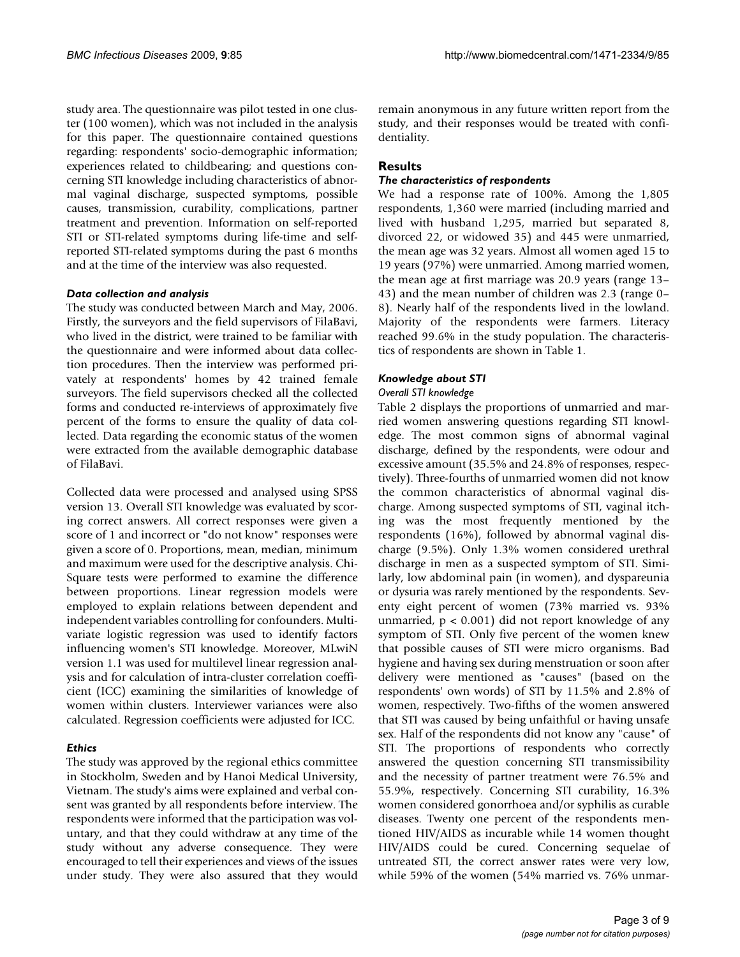study area. The questionnaire was pilot tested in one cluster (100 women), which was not included in the analysis for this paper. The questionnaire contained questions regarding: respondents' socio-demographic information; experiences related to childbearing; and questions concerning STI knowledge including characteristics of abnormal vaginal discharge, suspected symptoms, possible causes, transmission, curability, complications, partner treatment and prevention. Information on self-reported STI or STI-related symptoms during life-time and selfreported STI-related symptoms during the past 6 months and at the time of the interview was also requested.

#### *Data collection and analysis*

The study was conducted between March and May, 2006. Firstly, the surveyors and the field supervisors of FilaBavi, who lived in the district, were trained to be familiar with the questionnaire and were informed about data collection procedures. Then the interview was performed privately at respondents' homes by 42 trained female surveyors. The field supervisors checked all the collected forms and conducted re-interviews of approximately five percent of the forms to ensure the quality of data collected. Data regarding the economic status of the women were extracted from the available demographic database of FilaBavi.

Collected data were processed and analysed using SPSS version 13. Overall STI knowledge was evaluated by scoring correct answers. All correct responses were given a score of 1 and incorrect or "do not know" responses were given a score of 0. Proportions, mean, median, minimum and maximum were used for the descriptive analysis. Chi-Square tests were performed to examine the difference between proportions. Linear regression models were employed to explain relations between dependent and independent variables controlling for confounders. Multivariate logistic regression was used to identify factors influencing women's STI knowledge. Moreover, MLwiN version 1.1 was used for multilevel linear regression analysis and for calculation of intra-cluster correlation coefficient (ICC) examining the similarities of knowledge of women within clusters. Interviewer variances were also calculated. Regression coefficients were adjusted for ICC.

# *Ethics*

The study was approved by the regional ethics committee in Stockholm, Sweden and by Hanoi Medical University, Vietnam. The study's aims were explained and verbal consent was granted by all respondents before interview. The respondents were informed that the participation was voluntary, and that they could withdraw at any time of the study without any adverse consequence. They were encouraged to tell their experiences and views of the issues under study. They were also assured that they would remain anonymous in any future written report from the study, and their responses would be treated with confidentiality.

# **Results**

# *The characteristics of respondents*

We had a response rate of 100%. Among the 1,805 respondents, 1,360 were married (including married and lived with husband 1,295, married but separated 8, divorced 22, or widowed 35) and 445 were unmarried, the mean age was 32 years. Almost all women aged 15 to 19 years (97%) were unmarried. Among married women, the mean age at first marriage was 20.9 years (range 13– 43) and the mean number of children was 2.3 (range 0– 8). Nearly half of the respondents lived in the lowland. Majority of the respondents were farmers. Literacy reached 99.6% in the study population. The characteristics of respondents are shown in Table [1](#page-3-0).

# *Knowledge about STI*

# *Overall STI knowledge*

Table [2](#page-4-0) displays the proportions of unmarried and married women answering questions regarding STI knowledge. The most common signs of abnormal vaginal discharge, defined by the respondents, were odour and excessive amount (35.5% and 24.8% of responses, respectively). Three-fourths of unmarried women did not know the common characteristics of abnormal vaginal discharge. Among suspected symptoms of STI, vaginal itching was the most frequently mentioned by the respondents (16%), followed by abnormal vaginal discharge (9.5%). Only 1.3% women considered urethral discharge in men as a suspected symptom of STI. Similarly, low abdominal pain (in women), and dyspareunia or dysuria was rarely mentioned by the respondents. Seventy eight percent of women (73% married vs. 93% unmarried,  $p < 0.001$ ) did not report knowledge of any symptom of STI. Only five percent of the women knew that possible causes of STI were micro organisms. Bad hygiene and having sex during menstruation or soon after delivery were mentioned as "causes" (based on the respondents' own words) of STI by 11.5% and 2.8% of women, respectively. Two-fifths of the women answered that STI was caused by being unfaithful or having unsafe sex. Half of the respondents did not know any "cause" of STI. The proportions of respondents who correctly answered the question concerning STI transmissibility and the necessity of partner treatment were 76.5% and 55.9%, respectively. Concerning STI curability, 16.3% women considered gonorrhoea and/or syphilis as curable diseases. Twenty one percent of the respondents mentioned HIV/AIDS as incurable while 14 women thought HIV/AIDS could be cured. Concerning sequelae of untreated STI, the correct answer rates were very low, while 59% of the women (54% married vs. 76% unmar-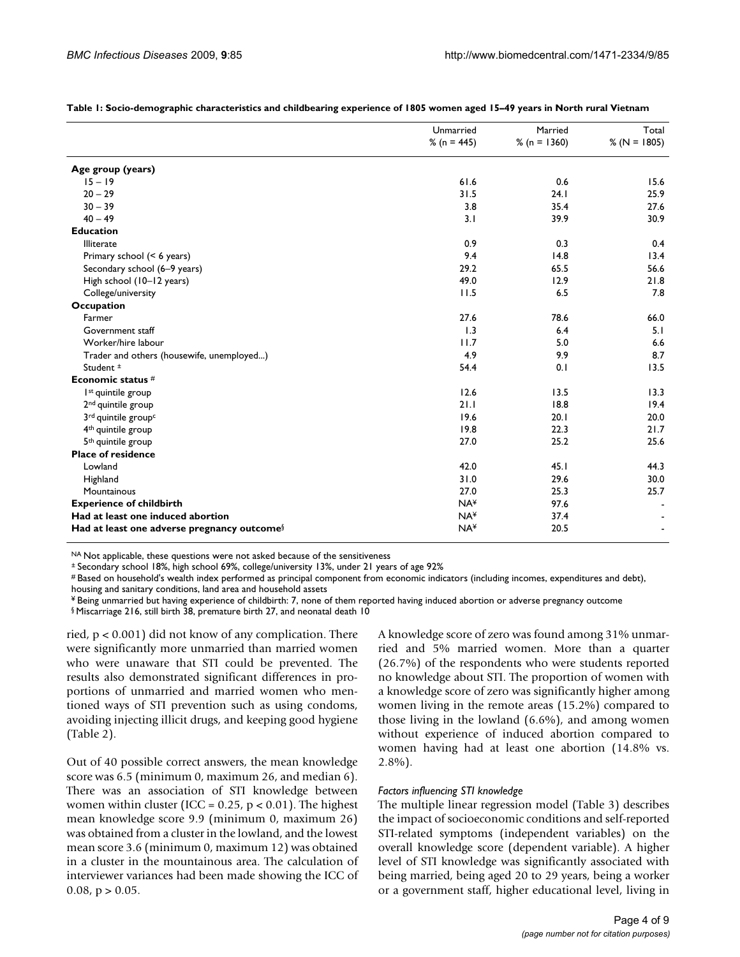|                                                         | Unmarried                           | Married          | Total          |
|---------------------------------------------------------|-------------------------------------|------------------|----------------|
|                                                         | % ( $n = 445$ )                     | % ( $n = 1360$ ) | $% (N = 1805)$ |
| Age group (years)                                       |                                     |                  |                |
| $15 - 19$                                               | 61.6                                | 0.6              | 15.6           |
| $20 - 29$                                               | 31.5                                | 24.1             | 25.9           |
| $30 - 39$                                               | 3.8                                 | 35.4             | 27.6           |
| $40 - 49$                                               | 3.1                                 | 39.9             | 30.9           |
| <b>Education</b>                                        |                                     |                  |                |
| Illiterate                                              | 0.9                                 | 0.3              | 0.4            |
| Primary school (< 6 years)                              | 9.4                                 | 14.8             | 13.4           |
| Secondary school (6-9 years)                            | 29.2                                | 65.5             | 56.6           |
| High school (10-12 years)                               | 49.0                                | 12.9             | 21.8           |
| College/university                                      | 11.5                                | 6.5              | 7.8            |
| <b>Occupation</b>                                       |                                     |                  |                |
| Farmer                                                  | 27.6                                | 78.6             | 66.0           |
| Government staff                                        | 1.3                                 | 6.4              | 5.1            |
| Worker/hire labour                                      | 11.7                                | 5.0              | 6.6            |
| Trader and others (housewife, unemployed)               | 4.9                                 | 9.9              | 8.7            |
| Student ±                                               | 54.4                                | 0.1              | 13.5           |
| Economic status #                                       |                                     |                  |                |
| I <sup>st</sup> quintile group                          | 12.6                                | 13.5             | 13.3           |
| 2 <sup>nd</sup> quintile group                          | 21.1                                | 18.8             | 19.4           |
| 3rd quintile group <sup>c</sup>                         | 19.6                                | 20.1             | 20.0           |
| 4 <sup>th</sup> quintile group                          | 19.8                                | 22.3             | 21.7           |
| 5 <sup>th</sup> quintile group                          | 27.0                                | 25.2             | 25.6           |
| <b>Place of residence</b>                               |                                     |                  |                |
| Lowland                                                 | 42.0                                | 45.1             | 44.3           |
| Highland                                                | 31.0                                | 29.6             | 30.0           |
| Mountainous                                             | 27.0                                | 25.3             | 25.7           |
| <b>Experience of childbirth</b>                         | $NA$ <sup><math>\angle</math></sup> | 97.6             |                |
| Had at least one induced abortion                       | $NA*$                               | 37.4             |                |
| Had at least one adverse pregnancy outcome <sup>§</sup> | $NA*$                               | 20.5             |                |

<span id="page-3-0"></span>

| Table 1: Socio-demographic characteristics and childbearing experience of 1805 women aged 15–49 years in North rural Vietnam |  |  |  |
|------------------------------------------------------------------------------------------------------------------------------|--|--|--|
|------------------------------------------------------------------------------------------------------------------------------|--|--|--|

NA Not applicable, these questions were not asked because of the sensitiveness

± Secondary school 18%, high school 69%, college/university 13%, under 21 years of age 92%

# Based on household's wealth index performed as principal component from economic indicators (including incomes, expenditures and debt), housing and sanitary conditions, land area and household assets

¥ Being unmarried but having experience of childbirth: 7, none of them reported having induced abortion or adverse pregnancy outcome § Miscarriage 216, still birth 38, premature birth 27, and neonatal death 10

ried, p < 0.001) did not know of any complication. There were significantly more unmarried than married women who were unaware that STI could be prevented. The results also demonstrated significant differences in proportions of unmarried and married women who mentioned ways of STI prevention such as using condoms, avoiding injecting illicit drugs, and keeping good hygiene (Table [2\)](#page-4-0).

Out of 40 possible correct answers, the mean knowledge score was 6.5 (minimum 0, maximum 26, and median 6). There was an association of STI knowledge between women within cluster (ICC =  $0.25$ ,  $p < 0.01$ ). The highest mean knowledge score 9.9 (minimum 0, maximum 26) was obtained from a cluster in the lowland, and the lowest mean score 3.6 (minimum 0, maximum 12) was obtained in a cluster in the mountainous area. The calculation of interviewer variances had been made showing the ICC of  $0.08$ ,  $p > 0.05$ .

A knowledge score of zero was found among 31% unmarried and 5% married women. More than a quarter (26.7%) of the respondents who were students reported no knowledge about STI. The proportion of women with a knowledge score of zero was significantly higher among women living in the remote areas (15.2%) compared to those living in the lowland (6.6%), and among women without experience of induced abortion compared to women having had at least one abortion (14.8% vs. 2.8%).

#### *Factors influencing STI knowledge*

The multiple linear regression model (Table [3\)](#page-5-0) describes the impact of socioeconomic conditions and self-reported STI-related symptoms (independent variables) on the overall knowledge score (dependent variable). A higher level of STI knowledge was significantly associated with being married, being aged 20 to 29 years, being a worker or a government staff, higher educational level, living in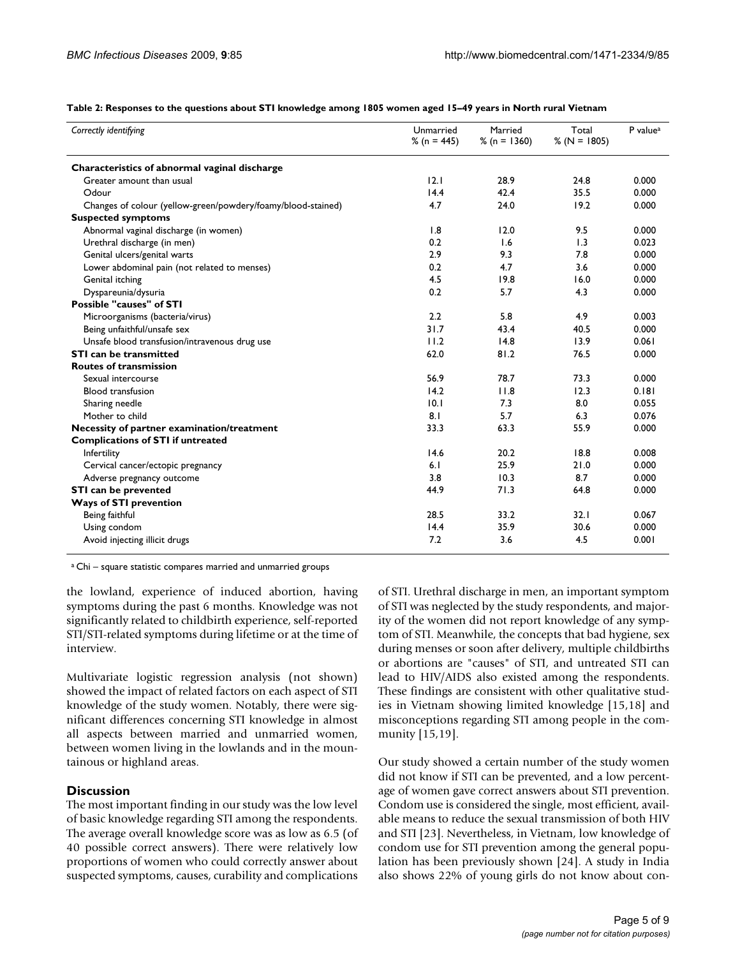| Correctly identifying                                        | Unmarried<br>% (n = $445$ ) | Married<br>% (n = $1360$ ) | Total<br>% ( $N = 1805$ ) | P value <sup>a</sup> |
|--------------------------------------------------------------|-----------------------------|----------------------------|---------------------------|----------------------|
| Characteristics of abnormal vaginal discharge                |                             |                            |                           |                      |
| Greater amount than usual                                    | 12.1                        | 28.9                       | 24.8                      | 0.000                |
| Odour                                                        | 14.4                        | 42.4                       | 35.5                      | 0.000                |
| Changes of colour (yellow-green/powdery/foamy/blood-stained) | 4.7                         | 24.0                       | 19.2                      | 0.000                |
| <b>Suspected symptoms</b>                                    |                             |                            |                           |                      |
| Abnormal vaginal discharge (in women)                        | 1.8                         | 12.0                       | 9.5                       | 0.000                |
| Urethral discharge (in men)                                  | 0.2                         | 1.6                        | 1.3                       | 0.023                |
| Genital ulcers/genital warts                                 | 2.9                         | 9.3                        | 7.8                       | 0.000                |
| Lower abdominal pain (not related to menses)                 | 0.2                         | 4.7                        | 3.6                       | 0.000                |
| Genital itching                                              | 4.5                         | 19.8                       | 16.0                      | 0.000                |
| Dyspareunia/dysuria                                          | 0.2                         | 5.7                        | 4.3                       | 0.000                |
| <b>Possible "causes" of STI</b>                              |                             |                            |                           |                      |
| Microorganisms (bacteria/virus)                              | 2.2                         | 5.8                        | 4.9                       | 0.003                |
| Being unfaithful/unsafe sex                                  | 31.7                        | 43.4                       | 40.5                      | 0.000                |
| Unsafe blood transfusion/intravenous drug use                | 11.2                        | 14.8                       | 13.9                      | 0.061                |
| <b>STI can be transmitted</b>                                | 62.0                        | 81.2                       | 76.5                      | 0.000                |
| <b>Routes of transmission</b>                                |                             |                            |                           |                      |
| Sexual intercourse                                           | 56.9                        | 78.7                       | 73.3                      | 0.000                |
| <b>Blood transfusion</b>                                     | 14.2                        | 11.8                       | 12.3                      | 0.181                |
| Sharing needle                                               | 0.1                         | 7.3                        | 8.0                       | 0.055                |
| Mother to child                                              | 8.1                         | 5.7                        | 6.3                       | 0.076                |
| Necessity of partner examination/treatment                   | 33.3                        | 63.3                       | 55.9                      | 0.000                |
| <b>Complications of STI if untreated</b>                     |                             |                            |                           |                      |
| Infertility                                                  | 14.6                        | 20.2                       | 18.8                      | 0.008                |
| Cervical cancer/ectopic pregnancy                            | 6.1                         | 25.9                       | 21.0                      | 0.000                |
| Adverse pregnancy outcome                                    | 3.8                         | 10.3                       | 8.7                       | 0.000                |
| STI can be prevented                                         | 44.9                        | 71.3                       | 64.8                      | 0.000                |
| <b>Ways of STI prevention</b>                                |                             |                            |                           |                      |
| Being faithful                                               | 28.5                        | 33.2                       | 32.1                      | 0.067                |
| Using condom                                                 | 14.4                        | 35.9                       | 30.6                      | 0.000                |
| Avoid injecting illicit drugs                                | 7.2                         | 3.6                        | 4.5                       | 0.001                |

<span id="page-4-0"></span>

| Table 2: Responses to the questions about STI knowledge among 1805 women aged 15-49 years in North rural Vietnam |  |
|------------------------------------------------------------------------------------------------------------------|--|
|------------------------------------------------------------------------------------------------------------------|--|

a Chi – square statistic compares married and unmarried groups

the lowland, experience of induced abortion, having symptoms during the past 6 months. Knowledge was not significantly related to childbirth experience, self-reported STI/STI-related symptoms during lifetime or at the time of interview.

Multivariate logistic regression analysis (not shown) showed the impact of related factors on each aspect of STI knowledge of the study women. Notably, there were significant differences concerning STI knowledge in almost all aspects between married and unmarried women, between women living in the lowlands and in the mountainous or highland areas.

# **Discussion**

The most important finding in our study was the low level of basic knowledge regarding STI among the respondents. The average overall knowledge score was as low as 6.5 (of 40 possible correct answers). There were relatively low proportions of women who could correctly answer about suspected symptoms, causes, curability and complications of STI. Urethral discharge in men, an important symptom of STI was neglected by the study respondents, and majority of the women did not report knowledge of any symptom of STI. Meanwhile, the concepts that bad hygiene, sex during menses or soon after delivery, multiple childbirths or abortions are "causes" of STI, and untreated STI can lead to HIV/AIDS also existed among the respondents. These findings are consistent with other qualitative studies in Vietnam showing limited knowledge [[15](#page-7-12),[18\]](#page-7-15) and misconceptions regarding STI among people in the community [[15](#page-7-12)[,19\]](#page-7-16).

Our study showed a certain number of the study women did not know if STI can be prevented, and a low percentage of women gave correct answers about STI prevention. Condom use is considered the single, most efficient, available means to reduce the sexual transmission of both HIV and STI [[23](#page-7-21)]. Nevertheless, in Vietnam, low knowledge of condom use for STI prevention among the general population has been previously shown [\[24](#page-7-22)]. A study in India also shows 22% of young girls do not know about con-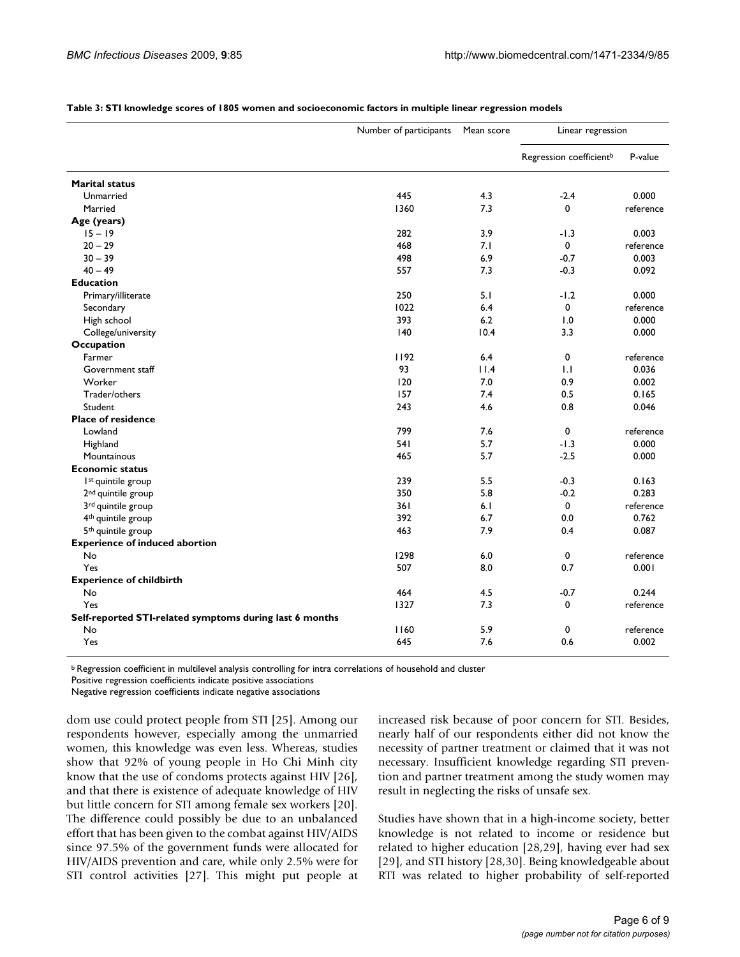|                                                         | Number of participants | Mean score | Linear regression                   |           |
|---------------------------------------------------------|------------------------|------------|-------------------------------------|-----------|
|                                                         |                        |            | Regression coefficient <sup>b</sup> | P-value   |
| <b>Marital status</b>                                   |                        |            |                                     |           |
| Unmarried                                               | 445                    | 4.3        | $-2.4$                              | 0.000     |
| Married                                                 | 1360                   | 7.3        | 0                                   | reference |
| Age (years)                                             |                        |            |                                     |           |
| $15 - 19$                                               | 282                    | 3.9        | $-1.3$                              | 0.003     |
| $20 - 29$                                               | 468                    | 7.1        | 0                                   | reference |
| $30 - 39$                                               | 498                    | 6.9        | $-0.7$                              | 0.003     |
| $40 - 49$                                               | 557                    | 7.3        | $-0.3$                              | 0.092     |
| <b>Education</b>                                        |                        |            |                                     |           |
| Primary/illiterate                                      | 250                    | 5.1        | $-1.2$                              | 0.000     |
| Secondary                                               | 1022                   | 6.4        | 0                                   | reference |
| High school                                             | 393                    | 6.2        | 1.0                                 | 0.000     |
| College/university                                      | 140                    | 10.4       | 3.3                                 | 0.000     |
| Occupation                                              |                        |            |                                     |           |
| Farmer                                                  | 1192                   | 6.4        | 0                                   | reference |
| Government staff                                        | 93                     | 11.4       | 1.1                                 | 0.036     |
| Worker                                                  | 120                    | 7.0        | 0.9                                 | 0.002     |
| Trader/others                                           | 157                    | 7.4        | 0.5                                 | 0.165     |
| Student                                                 | 243                    | 4.6        | 0.8                                 | 0.046     |
| <b>Place of residence</b>                               |                        |            |                                     |           |
| Lowland                                                 | 799                    | 7.6        | 0                                   | reference |
| Highland                                                | 54 I                   | 5.7        | $-1.3$                              | 0.000     |
| Mountainous                                             | 465                    | 5.7        | $-2.5$                              | 0.000     |
| <b>Economic status</b>                                  |                        |            |                                     |           |
| I <sup>st</sup> quintile group                          | 239                    | 5.5        | $-0.3$                              | 0.163     |
| 2 <sup>nd</sup> quintile group                          | 350                    | 5.8        | $-0.2$                              | 0.283     |
| 3rd quintile group                                      | 361                    | 6.1        | 0                                   | reference |
| 4 <sup>th</sup> quintile group                          | 392                    | 6.7        | 0.0                                 | 0.762     |
| 5 <sup>th</sup> quintile group                          | 463                    | 7.9        | 0.4                                 | 0.087     |
| <b>Experience of induced abortion</b>                   |                        |            |                                     |           |
| <b>No</b>                                               | 1298                   | 6.0        | 0                                   | reference |
| Yes                                                     | 507                    | 8.0        | 0.7                                 | 0.001     |
| <b>Experience of childbirth</b>                         |                        |            |                                     |           |
| No                                                      | 464                    | 4.5        | $-0.7$                              | 0.244     |
| Yes                                                     | 1327                   | 7.3        | 0                                   | reference |
| Self-reported STI-related symptoms during last 6 months |                        |            |                                     |           |
| No                                                      | 1160                   | 5.9        | 0                                   | reference |
| Yes                                                     | 645                    | 7.6        | 0.6                                 | 0.002     |
|                                                         |                        |            |                                     |           |

<span id="page-5-0"></span>**Table 3: STI knowledge scores of 1805 women and socioeconomic factors in multiple linear regression models**

b Regression coefficient in multilevel analysis controlling for intra correlations of household and cluster

Positive regression coefficients indicate positive associations

Negative regression coefficients indicate negative associations

dom use could protect people from STI [\[25\]](#page-7-23). Among our respondents however, especially among the unmarried women, this knowledge was even less. Whereas, studies show that 92% of young people in Ho Chi Minh city know that the use of condoms protects against HIV [\[26](#page-7-24)], and that there is existence of adequate knowledge of HIV but little concern for STI among female sex workers [\[20](#page-7-17)]. The difference could possibly be due to an unbalanced effort that has been given to the combat against HIV/AIDS since 97.5% of the government funds were allocated for HIV/AIDS prevention and care, while only 2.5% were for STI control activities [[27](#page-7-25)]. This might put people at increased risk because of poor concern for STI. Besides, nearly half of our respondents either did not know the necessity of partner treatment or claimed that it was not necessary. Insufficient knowledge regarding STI prevention and partner treatment among the study women may result in neglecting the risks of unsafe sex.

Studies have shown that in a high-income society, better knowledge is not related to income or residence but related to higher education [\[28](#page-7-26)[,29](#page-7-27)], having ever had sex [[29](#page-7-27)], and STI history [\[28](#page-7-26)[,30](#page-8-0)]. Being knowledgeable about RTI was related to higher probability of self-reported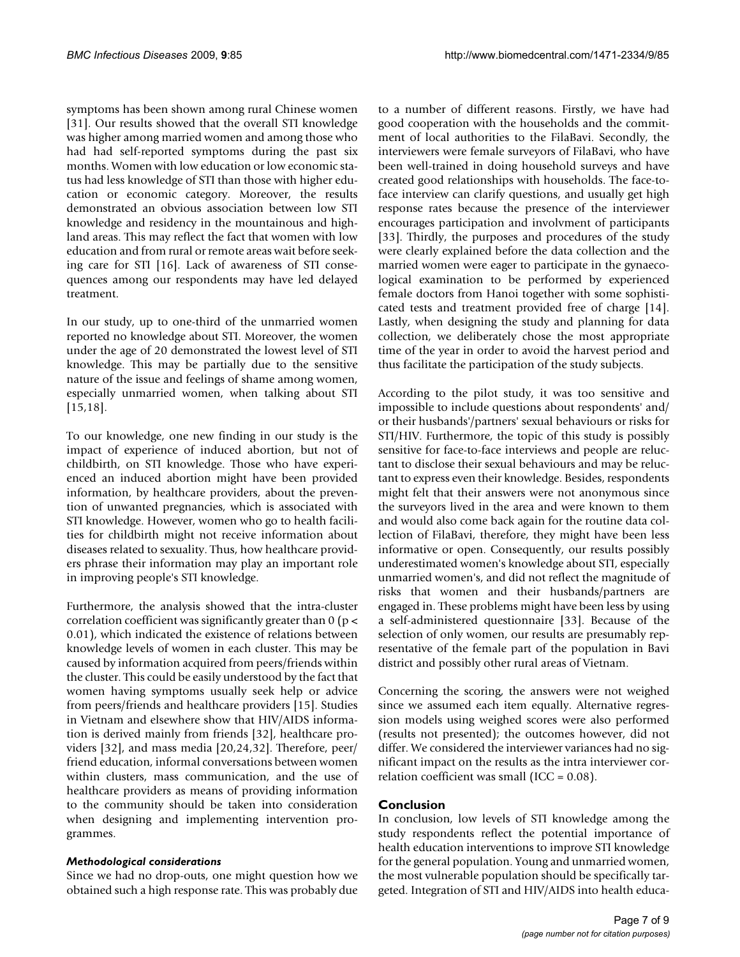symptoms has been shown among rural Chinese women [[31](#page-8-1)]. Our results showed that the overall STI knowledge was higher among married women and among those who had had self-reported symptoms during the past six months. Women with low education or low economic status had less knowledge of STI than those with higher education or economic category. Moreover, the results demonstrated an obvious association between low STI knowledge and residency in the mountainous and highland areas. This may reflect the fact that women with low education and from rural or remote areas wait before seeking care for STI [[16](#page-7-13)]. Lack of awareness of STI consequences among our respondents may have led delayed treatment.

In our study, up to one-third of the unmarried women reported no knowledge about STI. Moreover, the women under the age of 20 demonstrated the lowest level of STI knowledge. This may be partially due to the sensitive nature of the issue and feelings of shame among women, especially unmarried women, when talking about STI [[15](#page-7-12),[18\]](#page-7-15).

To our knowledge, one new finding in our study is the impact of experience of induced abortion, but not of childbirth, on STI knowledge. Those who have experienced an induced abortion might have been provided information, by healthcare providers, about the prevention of unwanted pregnancies, which is associated with STI knowledge. However, women who go to health facilities for childbirth might not receive information about diseases related to sexuality. Thus, how healthcare providers phrase their information may play an important role in improving people's STI knowledge.

Furthermore, the analysis showed that the intra-cluster correlation coefficient was significantly greater than  $0$  ( $p$  < 0.01), which indicated the existence of relations between knowledge levels of women in each cluster. This may be caused by information acquired from peers/friends within the cluster. This could be easily understood by the fact that women having symptoms usually seek help or advice from peers/friends and healthcare providers [\[15](#page-7-12)]. Studies in Vietnam and elsewhere show that HIV/AIDS information is derived mainly from friends [[32\]](#page-8-2), healthcare providers [[32](#page-8-2)], and mass media [\[20](#page-7-17),[24](#page-7-22),[32\]](#page-8-2). Therefore, peer/ friend education, informal conversations between women within clusters, mass communication, and the use of healthcare providers as means of providing information to the community should be taken into consideration when designing and implementing intervention programmes.

# *Methodological considerations*

Since we had no drop-outs, one might question how we obtained such a high response rate. This was probably due to a number of different reasons. Firstly, we have had good cooperation with the households and the commitment of local authorities to the FilaBavi. Secondly, the interviewers were female surveyors of FilaBavi, who have been well-trained in doing household surveys and have created good relationships with households. The face-toface interview can clarify questions, and usually get high response rates because the presence of the interviewer encourages participation and involvment of participants [[33](#page-8-3)]. Thirdly, the purposes and procedures of the study were clearly explained before the data collection and the married women were eager to participate in the gynaecological examination to be performed by experienced female doctors from Hanoi together with some sophisticated tests and treatment provided free of charge [\[14](#page-7-11)]. Lastly, when designing the study and planning for data collection, we deliberately chose the most appropriate time of the year in order to avoid the harvest period and thus facilitate the participation of the study subjects.

According to the pilot study, it was too sensitive and impossible to include questions about respondents' and/ or their husbands'/partners' sexual behaviours or risks for STI/HIV. Furthermore, the topic of this study is possibly sensitive for face-to-face interviews and people are reluctant to disclose their sexual behaviours and may be reluctant to express even their knowledge. Besides, respondents might felt that their answers were not anonymous since the surveyors lived in the area and were known to them and would also come back again for the routine data collection of FilaBavi, therefore, they might have been less informative or open. Consequently, our results possibly underestimated women's knowledge about STI, especially unmarried women's, and did not reflect the magnitude of risks that women and their husbands/partners are engaged in. These problems might have been less by using a self-administered questionnaire [\[33\]](#page-8-3). Because of the selection of only women, our results are presumably representative of the female part of the population in Bavi district and possibly other rural areas of Vietnam.

Concerning the scoring, the answers were not weighed since we assumed each item equally. Alternative regression models using weighed scores were also performed (results not presented); the outcomes however, did not differ. We considered the interviewer variances had no significant impact on the results as the intra interviewer correlation coefficient was small (ICC = 0.08).

# **Conclusion**

In conclusion, low levels of STI knowledge among the study respondents reflect the potential importance of health education interventions to improve STI knowledge for the general population. Young and unmarried women, the most vulnerable population should be specifically targeted. Integration of STI and HIV/AIDS into health educa-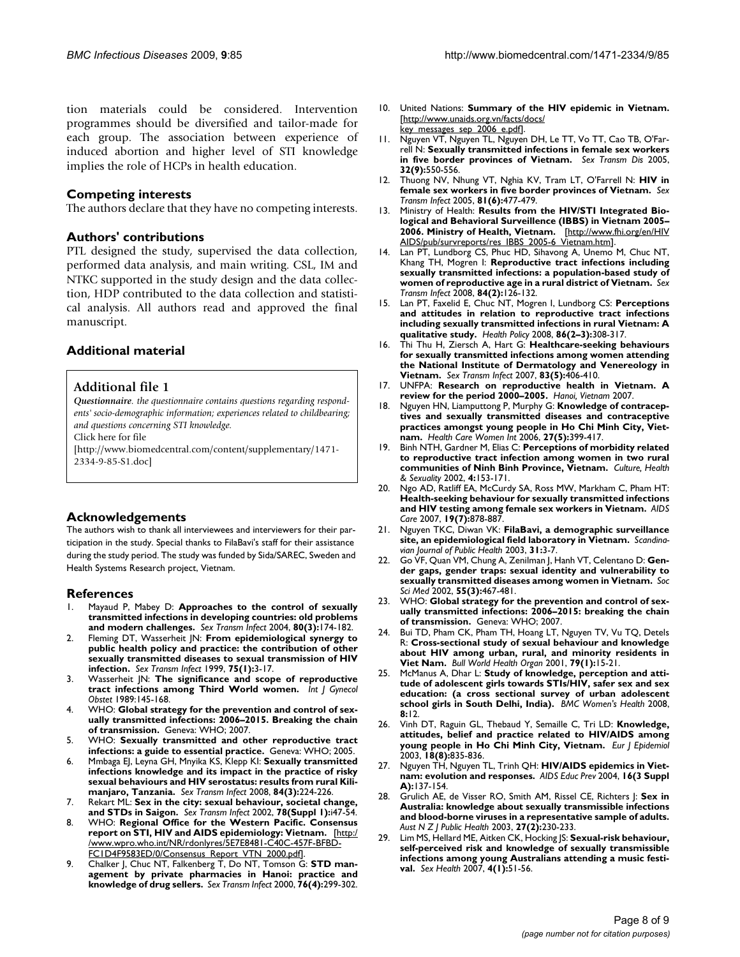tion materials could be considered. Intervention programmes should be diversified and tailor-made for each group. The association between experience of induced abortion and higher level of STI knowledge implies the role of HCPs in health education.

#### **Competing interests**

The authors declare that they have no competing interests.

#### **Authors' contributions**

PTL designed the study, supervised the data collection, performed data analysis, and main writing. CSL, IM and NTKC supported in the study design and the data collection, HDP contributed to the data collection and statistical analysis. All authors read and approved the final manuscript.

#### **Additional material**

#### <span id="page-7-19"></span>**Additional file 1**

*Questionnaire. the questionnaire contains questions regarding respondents' socio-demographic information; experiences related to childbearing; and questions concerning STI knowledge.*

Click here for file

[\[http://www.biomedcentral.com/content/supplementary/1471-](http://www.biomedcentral.com/content/supplementary/1471-2334-9-85-S1.doc) 2334-9-85-S1.doc]

#### **Acknowledgements**

The authors wish to thank all interviewees and interviewers for their participation in the study. Special thanks to FilaBavi's staff for their assistance during the study period. The study was funded by Sida/SAREC, Sweden and Health Systems Research project, Vietnam.

#### **References**

- <span id="page-7-0"></span>1. Mayaud P, Mabey D: **[Approaches to the control of sexually](http://www.ncbi.nlm.nih.gov/entrez/query.fcgi?cmd=Retrieve&db=PubMed&dopt=Abstract&list_uids=15169997) [transmitted infections in developing countries: old problems](http://www.ncbi.nlm.nih.gov/entrez/query.fcgi?cmd=Retrieve&db=PubMed&dopt=Abstract&list_uids=15169997) [and modern challenges.](http://www.ncbi.nlm.nih.gov/entrez/query.fcgi?cmd=Retrieve&db=PubMed&dopt=Abstract&list_uids=15169997)** *Sex Transm Infect* 2004, **80(3):**174-182.
- <span id="page-7-1"></span>2. Fleming DT, Wasserheit JN: **[From epidemiological synergy to](http://www.ncbi.nlm.nih.gov/entrez/query.fcgi?cmd=Retrieve&db=PubMed&dopt=Abstract&list_uids=10448335) [public health policy and practice: the contribution of other](http://www.ncbi.nlm.nih.gov/entrez/query.fcgi?cmd=Retrieve&db=PubMed&dopt=Abstract&list_uids=10448335) sexually transmitted diseases to sexual transmission of HIV [infection.](http://www.ncbi.nlm.nih.gov/entrez/query.fcgi?cmd=Retrieve&db=PubMed&dopt=Abstract&list_uids=10448335)** *Sex Transm Infect* 1999, **75(1):**3-17.
- <span id="page-7-2"></span>3. Wasserheit JN: **The significance and scope of reproductive tract infections among Third World women.** *Int J Gynecol Obstet* 1989:145-168.
- WHO: Global strategy for the prevention and control of sex**ually transmitted infections: 2006–2015. Breaking the chain of transmission.** Geneva: WHO; 2007.
- <span id="page-7-3"></span>5. WHO: **Sexually transmitted and other reproductive tract infections: a guide to essential practice.** Geneva: WHO; 2005.
- <span id="page-7-4"></span>6. Mmbaga EJ, Leyna GH, Mnyika KS, Klepp KI: **[Sexually transmitted](http://www.ncbi.nlm.nih.gov/entrez/query.fcgi?cmd=Retrieve&db=PubMed&dopt=Abstract&list_uids=18283095) [infections knowledge and its impact in the practice of risky](http://www.ncbi.nlm.nih.gov/entrez/query.fcgi?cmd=Retrieve&db=PubMed&dopt=Abstract&list_uids=18283095) sexual behaviours and HIV serostatus: results from rural Kili[manjaro, Tanzania.](http://www.ncbi.nlm.nih.gov/entrez/query.fcgi?cmd=Retrieve&db=PubMed&dopt=Abstract&list_uids=18283095)** *Sex Transm Infect* 2008, **84(3):**224-226.
- <span id="page-7-5"></span>7. Rekart ML: **[Sex in the city: sexual behaviour, societal change,](http://www.ncbi.nlm.nih.gov/entrez/query.fcgi?cmd=Retrieve&db=PubMed&dopt=Abstract&list_uids=12083447) [and STDs in Saigon.](http://www.ncbi.nlm.nih.gov/entrez/query.fcgi?cmd=Retrieve&db=PubMed&dopt=Abstract&list_uids=12083447)** *Sex Transm Infect* 2002, **78(Suppl 1):**i47-54.
- <span id="page-7-6"></span>8. WHO: **[Regional Office for the Western Pacific. Consensus](http://www.ncbi.nlm.nih.gov/entrez/query.fcgi?cmd=Retrieve&db=PubMed&dopt=Abstract&list_uids=2097487) [report on STI, HIV and AIDS epidemiology: Vietnam.](http://www.ncbi.nlm.nih.gov/entrez/query.fcgi?cmd=Retrieve&db=PubMed&dopt=Abstract&list_uids=2097487)** [[http:/](http://www.wpro.who.int/NR/rdonlyres/5E7E8481-C40C-457F-BFBD-FC1D4F9583ED/0/Consensus_Report_VTN_2000.pdf) [/www.wpro.who.int/NR/rdonlyres/5E7E8481-C40C-457F-BFBD-](http://www.wpro.who.int/NR/rdonlyres/5E7E8481-C40C-457F-BFBD-FC1D4F9583ED/0/Consensus_Report_VTN_2000.pdf)[FC1D4F9583ED/0/Consensus\\_Report\\_VTN\\_2000.pdf\]](http://www.wpro.who.int/NR/rdonlyres/5E7E8481-C40C-457F-BFBD-FC1D4F9583ED/0/Consensus_Report_VTN_2000.pdf).
- <span id="page-7-7"></span>9. Chalker J, Chuc NT, Falkenberg T, Do NT, Tomson G: **[STD man](http://www.ncbi.nlm.nih.gov/entrez/query.fcgi?cmd=Retrieve&db=PubMed&dopt=Abstract&list_uids=11026888)[agement by private pharmacies in Hanoi: practice and](http://www.ncbi.nlm.nih.gov/entrez/query.fcgi?cmd=Retrieve&db=PubMed&dopt=Abstract&list_uids=11026888) [knowledge of drug sellers.](http://www.ncbi.nlm.nih.gov/entrez/query.fcgi?cmd=Retrieve&db=PubMed&dopt=Abstract&list_uids=11026888)** *Sex Transm Infect* 2000, **76(4):**299-302.
- <span id="page-7-8"></span>10. United Nations: **Summary of the HIV epidemic in Vietnam.** [[http://www.unaids.org.vn/facts/docs/](http://www.unaids.org.vn/facts/docs/key_messages_sep_2006_e.pdf) [key\\_messages\\_sep\\_2006\\_e.pdf\]](http://www.unaids.org.vn/facts/docs/key_messages_sep_2006_e.pdf).
- <span id="page-7-9"></span>11. Nguyen VT, Nguyen TL, Nguyen DH, Le TT, Vo TT, Cao TB, O'Farrell N: **[Sexually transmitted infections in female sex workers](http://www.ncbi.nlm.nih.gov/entrez/query.fcgi?cmd=Retrieve&db=PubMed&dopt=Abstract&list_uids=16118603) [in five border provinces of Vietnam.](http://www.ncbi.nlm.nih.gov/entrez/query.fcgi?cmd=Retrieve&db=PubMed&dopt=Abstract&list_uids=16118603)** *Sex Transm Dis* 2005, **32(9):**550-556.
- 12. Thuong NV, Nhung VT, Nghia KV, Tram LT, O'Farrell N: **[HIV in](http://www.ncbi.nlm.nih.gov/entrez/query.fcgi?cmd=Retrieve&db=PubMed&dopt=Abstract&list_uids=16326850) [female sex workers in five border provinces of Vietnam.](http://www.ncbi.nlm.nih.gov/entrez/query.fcgi?cmd=Retrieve&db=PubMed&dopt=Abstract&list_uids=16326850)** *Sex Transm Infect* 2005, **81(6):**477-479.
- <span id="page-7-10"></span>13. Ministry of Health: **Results from the HIV/STI Integrated Biological and Behavioral Surveillence (IBBS) in Vietnam 2005– 2006. Ministry of Health, Vietnam.** [\[http://www.fhi.org/en/HIV](http://www.fhi.org/en/HIVAIDS/pub/survreports/res_IBBS_2005-6_Vietnam.htm) [AIDS/pub/survreports/res\\_IBBS\\_2005-6\\_Vietnam.htm](http://www.fhi.org/en/HIVAIDS/pub/survreports/res_IBBS_2005-6_Vietnam.htm)].
- <span id="page-7-11"></span>14. Lan PT, Lundborg CS, Phuc HD, Sihavong A, Unemo M, Chuc NT, Khang TH, Mogren I: **[Reproductive tract infections including](http://www.ncbi.nlm.nih.gov/entrez/query.fcgi?cmd=Retrieve&db=PubMed&dopt=Abstract&list_uids=18003708) [sexually transmitted infections: a population-based study of](http://www.ncbi.nlm.nih.gov/entrez/query.fcgi?cmd=Retrieve&db=PubMed&dopt=Abstract&list_uids=18003708) [women of reproductive age in a rural district of Vietnam.](http://www.ncbi.nlm.nih.gov/entrez/query.fcgi?cmd=Retrieve&db=PubMed&dopt=Abstract&list_uids=18003708)** *Sex Transm Infect* 2008, **84(2):**126-132.
- <span id="page-7-12"></span>15. Lan PT, Faxelid E, Chuc NT, Mogren I, Lundborg CS: **[Perceptions](http://www.ncbi.nlm.nih.gov/entrez/query.fcgi?cmd=Retrieve&db=PubMed&dopt=Abstract&list_uids=18191494) [and attitudes in relation to reproductive tract infections](http://www.ncbi.nlm.nih.gov/entrez/query.fcgi?cmd=Retrieve&db=PubMed&dopt=Abstract&list_uids=18191494) including sexually transmitted infections in rural Vietnam: A [qualitative study.](http://www.ncbi.nlm.nih.gov/entrez/query.fcgi?cmd=Retrieve&db=PubMed&dopt=Abstract&list_uids=18191494)** *Health Policy* 2008, **86(2–3):**308-317.
- <span id="page-7-13"></span>16. Thi Thu H, Ziersch A, Hart G: **[Healthcare-seeking behaviours](http://www.ncbi.nlm.nih.gov/entrez/query.fcgi?cmd=Retrieve&db=PubMed&dopt=Abstract&list_uids=17314126) [for sexually transmitted infections among women attending](http://www.ncbi.nlm.nih.gov/entrez/query.fcgi?cmd=Retrieve&db=PubMed&dopt=Abstract&list_uids=17314126) the National Institute of Dermatology and Venereology in [Vietnam.](http://www.ncbi.nlm.nih.gov/entrez/query.fcgi?cmd=Retrieve&db=PubMed&dopt=Abstract&list_uids=17314126)** *Sex Transm Infect* 2007, **83(5):**406-410.
- <span id="page-7-14"></span>17. UNFPA: **Research on reproductive health in Vietnam. A review for the period 2000–2005.** *Hanoi, Vietnam* 2007.
- <span id="page-7-15"></span>18. Nguyen HN, Liamputtong P, Murphy G: **[Knowledge of contracep](http://www.ncbi.nlm.nih.gov/entrez/query.fcgi?cmd=Retrieve&db=PubMed&dopt=Abstract&list_uids=16877291)[tives and sexually transmitted diseases and contraceptive](http://www.ncbi.nlm.nih.gov/entrez/query.fcgi?cmd=Retrieve&db=PubMed&dopt=Abstract&list_uids=16877291) practices amongst young people in Ho Chi Minh City, Viet[nam.](http://www.ncbi.nlm.nih.gov/entrez/query.fcgi?cmd=Retrieve&db=PubMed&dopt=Abstract&list_uids=16877291)** *Health Care Women Int* 2006, **27(5):**399-417.
- <span id="page-7-16"></span>19. Binh NTH, Gardner M, Elias C: **Perceptions of morbidity related to reproductive tract infection among women in two rural communities of Ninh Binh Province, Vietnam.** *Culture, Health & Sexuality* 2002, **4:**153-171.
- <span id="page-7-17"></span>20. Ngo AD, Ratliff EA, McCurdy SA, Ross MW, Markham C, Pham HT: **[Health-seeking behaviour for sexually transmitted infections](http://www.ncbi.nlm.nih.gov/entrez/query.fcgi?cmd=Retrieve&db=PubMed&dopt=Abstract&list_uids=17712691) [and HIV testing among female sex workers in Vietnam.](http://www.ncbi.nlm.nih.gov/entrez/query.fcgi?cmd=Retrieve&db=PubMed&dopt=Abstract&list_uids=17712691)** *AIDS Care* 2007, **19(7):**878-887.
- <span id="page-7-18"></span>21. Nguyen TKC, Diwan VK: **FilaBavi, a demographic surveillance site, an epidemiological field laboratory in Vietnam.** *Scandinavian Journal of Public Health* 2003, **31:**3-7.
- <span id="page-7-20"></span>22. Go VF, Quan VM, Chung A, Zenilman J, Hanh VT, Celentano D: **[Gen](http://www.ncbi.nlm.nih.gov/entrez/query.fcgi?cmd=Retrieve&db=PubMed&dopt=Abstract&list_uids=12144153)[der gaps, gender traps: sexual identity and vulnerability to](http://www.ncbi.nlm.nih.gov/entrez/query.fcgi?cmd=Retrieve&db=PubMed&dopt=Abstract&list_uids=12144153) [sexually transmitted diseases among women in Vietnam.](http://www.ncbi.nlm.nih.gov/entrez/query.fcgi?cmd=Retrieve&db=PubMed&dopt=Abstract&list_uids=12144153)** *Soc Sci Med* 2002, **55(3):**467-481.
- <span id="page-7-21"></span>23. WHO: **Global strategy for the prevention and control of sexually transmitted infections: 2006–2015: breaking the chain of transmission.** Geneva: WHO; 2007.
- <span id="page-7-22"></span>24. Bui TD, Pham CK, Pham TH, Hoang LT, Nguyen TV, Vu TQ, Detels R: **[Cross-sectional study of sexual behaviour and knowledge](http://www.ncbi.nlm.nih.gov/entrez/query.fcgi?cmd=Retrieve&db=PubMed&dopt=Abstract&list_uids=11217661) [about HIV among urban, rural, and minority residents in](http://www.ncbi.nlm.nih.gov/entrez/query.fcgi?cmd=Retrieve&db=PubMed&dopt=Abstract&list_uids=11217661) [Viet Nam.](http://www.ncbi.nlm.nih.gov/entrez/query.fcgi?cmd=Retrieve&db=PubMed&dopt=Abstract&list_uids=11217661)** *Bull World Health Organ* 2001, **79(1):**15-21.
- <span id="page-7-23"></span>25. McManus A, Dhar L: **[Study of knowledge, perception and atti](http://www.ncbi.nlm.nih.gov/entrez/query.fcgi?cmd=Retrieve&db=PubMed&dopt=Abstract&list_uids=18647417)[tude of adolescent girls towards STIs/HIV, safer sex and sex](http://www.ncbi.nlm.nih.gov/entrez/query.fcgi?cmd=Retrieve&db=PubMed&dopt=Abstract&list_uids=18647417) education: (a cross sectional survey of urban adolescent [school girls in South Delhi, India\).](http://www.ncbi.nlm.nih.gov/entrez/query.fcgi?cmd=Retrieve&db=PubMed&dopt=Abstract&list_uids=18647417)** *BMC Women's Health* 2008, **8:**12.
- <span id="page-7-24"></span>26. Vinh DT, Raguin GL, Thebaud Y, Semaille C, Tri LD: **[Knowledge,](http://www.ncbi.nlm.nih.gov/entrez/query.fcgi?cmd=Retrieve&db=PubMed&dopt=Abstract&list_uids=12974561) [attitudes, belief and practice related to HIV/AIDS among](http://www.ncbi.nlm.nih.gov/entrez/query.fcgi?cmd=Retrieve&db=PubMed&dopt=Abstract&list_uids=12974561) [young people in Ho Chi Minh City, Vietnam.](http://www.ncbi.nlm.nih.gov/entrez/query.fcgi?cmd=Retrieve&db=PubMed&dopt=Abstract&list_uids=12974561)** *Eur J Epidemiol* 2003, **18(8):**835-836.
- <span id="page-7-25"></span>27. Nguyen TH, Nguyen TL, Trinh QH: **[HIV/AIDS epidemics in Viet](http://www.ncbi.nlm.nih.gov/entrez/query.fcgi?cmd=Retrieve&db=PubMed&dopt=Abstract&list_uids=15262572)[nam: evolution and responses.](http://www.ncbi.nlm.nih.gov/entrez/query.fcgi?cmd=Retrieve&db=PubMed&dopt=Abstract&list_uids=15262572)** *AIDS Educ Prev* 2004, **16(3 Suppl A):**137-154.
- <span id="page-7-26"></span>28. Grulich AE, de Visser RO, Smith AM, Rissel CE, Richters J: **[Sex in](http://www.ncbi.nlm.nih.gov/entrez/query.fcgi?cmd=Retrieve&db=PubMed&dopt=Abstract&list_uids=14696716) [Australia: knowledge about sexually transmissible infections](http://www.ncbi.nlm.nih.gov/entrez/query.fcgi?cmd=Retrieve&db=PubMed&dopt=Abstract&list_uids=14696716) and blood-borne viruses in a representative sample of adults.** *Aust N Z J Public Health* 2003, **27(2):**230-233.
- <span id="page-7-27"></span>29. Lim MS, Hellard ME, Aitken CK, Hocking JS: **[Sexual-risk behaviour,](http://www.ncbi.nlm.nih.gov/entrez/query.fcgi?cmd=Retrieve&db=PubMed&dopt=Abstract&list_uids=17382039) [self-perceived risk and knowledge of sexually transmissible](http://www.ncbi.nlm.nih.gov/entrez/query.fcgi?cmd=Retrieve&db=PubMed&dopt=Abstract&list_uids=17382039) infections among young Australians attending a music festi[val.](http://www.ncbi.nlm.nih.gov/entrez/query.fcgi?cmd=Retrieve&db=PubMed&dopt=Abstract&list_uids=17382039)** *Sex Health* 2007, **4(1):**51-56.